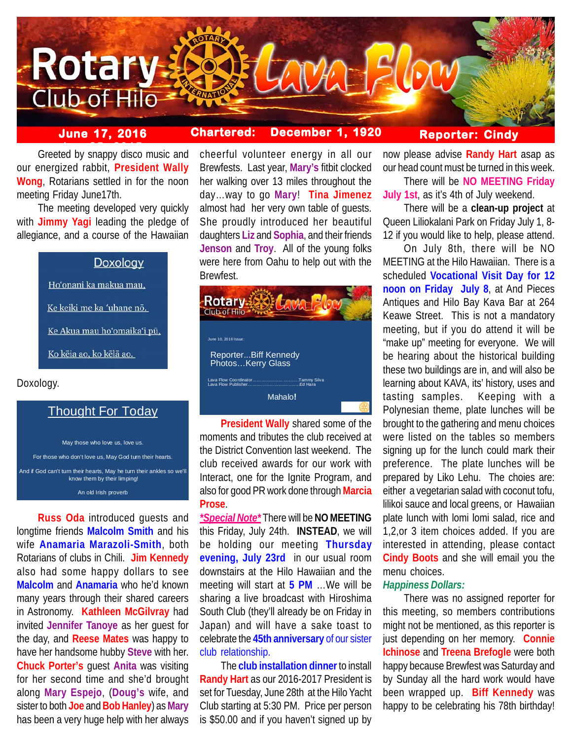

# **June 17, 2016 Chartered: December 1, 1920**

**Reporter: Cindy**

**belogies**<br>Greeted by snappy disco music and our energized rabbit, **President Wally Wong**, Rotarians settled in for the noon meeting Friday June17th.

The meeting developed very quickly with **Jimmy Yagi** leading the pledge of allegiance, and a course of the Hawaiian

## Doxology

Ho'onani ka makua mau,

Ke keiki me ka 'uhane nō.

Ke Akua mau hoʻomaikaʻi pū,

Ko kēja ao, ko kēlā ao.

Doxology.

# Thought For Today

May those who love us, love us. For those who don't love us, May God turn their hearts.

And if God can't turn their hearts, May he turn their ankles so we'll know them by their limping!

An old Irish proverb

**Russ Oda** introduced guests and longtime friends **Malcolm Smith** and his wife **Anamaria Marazoli-Smith**, both Rotarians of clubs in Chili. **Jim Kennedy** also had some happy dollars to see **Malcolm** and **Anamaria** who he'd known many years through their shared careers in Astronomy. **Kathleen McGilvray** had invited **Jennifer Tanoye** as her guest for the day, and **Reese Mates** was happy to have her handsome hubby **Steve** with her. **Chuck Porter's** guest **Anita** was visiting for her second time and she'd brought along **Mary Espejo**, (**Doug's** wife, and sister to both **Joe** and **Bob Hanley**) as **Mary** has been a very huge help with her always

cheerful volunteer energy in all our Brewfests. Last year, **Mary's** fitbit clocked her walking over 13 miles throughout the day…way to go **Mary**! **Tina Jimenez** almost had her very own table of guests. She proudly introduced her beautiful daughters **Liz** and **Sophia**, and their friends **Jenson** and **Troy**. All of the young folks were here from Oahu to help out with the Brewfest.



**President Wally** shared some of the moments and tributes the club received at the District Convention last weekend. The club received awards for our work with Interact, one for the Ignite Program, and also for good PR work done through **Marcia Prose**.

*\*Special Note\** There will be **NO MEETING** this Friday, July 24th. **INSTEAD**, we will be holding our meeting **Thursday evening, July 23rd** in our usual room downstairs at the Hilo Hawaiian and the meeting will start at **5 PM** …We will be sharing a live broadcast with Hiroshima South Club (they'll already be on Friday in Japan) and will have a sake toast to celebrate the **45th anniversary** of our sister club relationship.

The **club installation dinner** to install **Randy Hart** as our 2016-2017 President is set for Tuesday, June 28th at the Hilo Yacht Club starting at 5:30 PM. Price per person is \$50.00 and if you haven't signed up by now please advise **Randy Hart** asap as our head count must be turned in this week.

There will be **NO MEETING Friday July 1st**, as it's 4th of July weekend.

There will be a **clean-up project** at Queen Liliokalani Park on Friday July 1, 8- 12 if you would like to help, please attend.

On July 8th, there will be NO MEETING at the Hilo Hawaiian. There is a scheduled **Vocational Visit Day for 12 noon on Friday July 8**, at And Pieces Antiques and Hilo Bay Kava Bar at 264 Keawe Street. This is not a mandatory meeting, but if you do attend it will be "make up" meeting for everyone. We will be hearing about the historical building these two buildings are in, and will also be learning about KAVA, its' history, uses and tasting samples. Keeping with a Polynesian theme, plate lunches will be brought to the gathering and menu choices were listed on the tables so members signing up for the lunch could mark their preference. The plate lunches will be prepared by Liko Lehu. The choies are: either a vegetarian salad with coconut tofu, lilikoi sauce and local greens, or Hawaiian plate lunch with lomi lomi salad, rice and 1,2,or 3 item choices added. If you are interested in attending, please contact **Cindy Boots** and she will email you the menu choices.

#### *Happiness Dollars:*

There was no assigned reporter for this meeting, so members contributions might not be mentioned, as this reporter is just depending on her memory. **Connie Ichinose** and **Treena Brefogle** were both happy because Brewfest was Saturday and by Sunday all the hard work would have been wrapped up. **Biff Kennedy** was happy to be celebrating his 78th birthday!